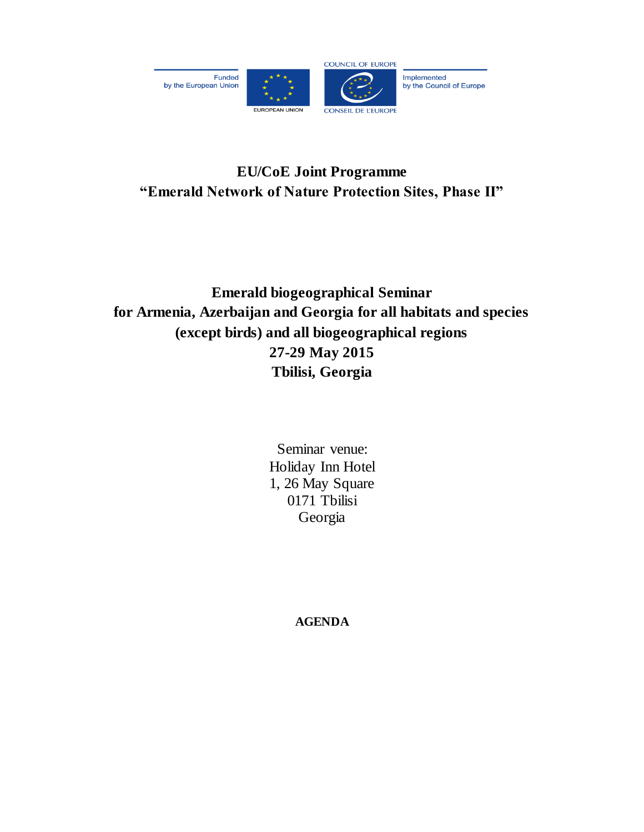

# **EU/CoE Joint Programme "Emerald Network of Nature Protection Sites, Phase II"**

# **Emerald biogeographical Seminar for Armenia, Azerbaijan and Georgia for all habitats and species (except birds) and all biogeographical regions 27-29 May 2015 Tbilisi, Georgia**

Seminar venue: Holiday Inn Hotel 1, 26 May Square 0171 Tbilisi Georgia

**AGENDA**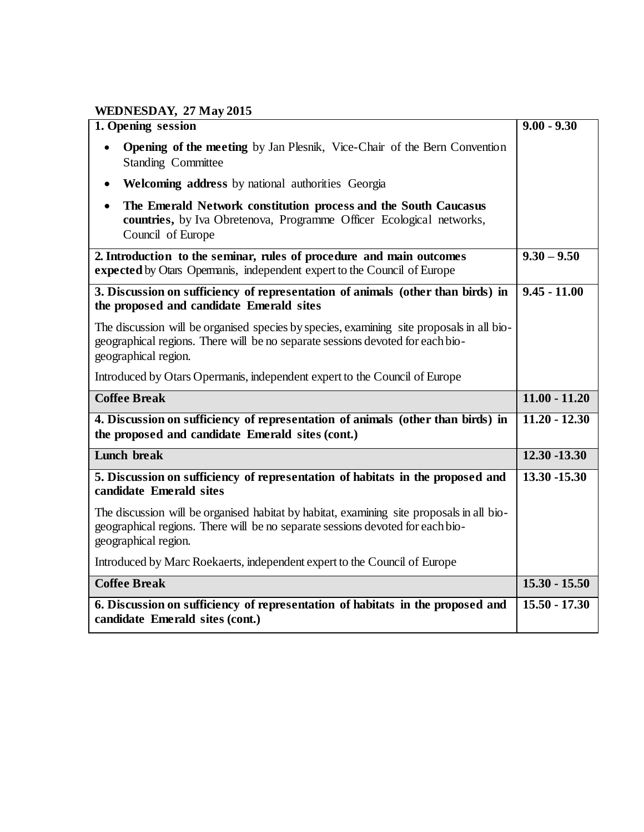## **WEDNESDAY, 27 May 2015**

| 1. Opening session                                                                                                                                                                                  | $9.00 - 9.30$   |
|-----------------------------------------------------------------------------------------------------------------------------------------------------------------------------------------------------|-----------------|
| <b>Opening of the meeting by Jan Plesnik, Vice-Chair of the Bern Convention</b><br>$\bullet$<br><b>Standing Committee</b>                                                                           |                 |
| <b>Welcoming address</b> by national authorities Georgia                                                                                                                                            |                 |
| The Emerald Network constitution process and the South Caucasus<br>countries, by Iva Obretenova, Programme Officer Ecological networks,<br>Council of Europe                                        |                 |
| 2. Introduction to the seminar, rules of procedure and main outcomes<br>expected by Otars Opermanis, independent expert to the Council of Europe                                                    | $9.30 - 9.50$   |
| 3. Discussion on sufficiency of representation of animals (other than birds) in<br>the proposed and candidate Emerald sites                                                                         | $9.45 - 11.00$  |
| The discussion will be organised species by species, examining site proposals in all bio-<br>geographical regions. There will be no separate sessions devoted for each bio-<br>geographical region. |                 |
| Introduced by Otars Opermanis, independent expert to the Council of Europe                                                                                                                          |                 |
| <b>Coffee Break</b>                                                                                                                                                                                 | $11.00 - 11.20$ |
| 4. Discussion on sufficiency of representation of animals (other than birds) in<br>the proposed and candidate Emerald sites (cont.)                                                                 | $11.20 - 12.30$ |
| Lunch break                                                                                                                                                                                         | $12.30 - 13.30$ |
| 5. Discussion on sufficiency of representation of habitats in the proposed and<br>candidate Emerald sites                                                                                           | 13.30 -15.30    |
| The discussion will be organised habitat by habitat, examining site proposals in all bio-<br>geographical regions. There will be no separate sessions devoted for each bio-<br>geographical region. |                 |
| Introduced by Marc Roekaerts, independent expert to the Council of Europe                                                                                                                           |                 |
| <b>Coffee Break</b>                                                                                                                                                                                 | $15.30 - 15.50$ |
| 6. Discussion on sufficiency of representation of habitats in the proposed and<br>candidate Emerald sites (cont.)                                                                                   | $15.50 - 17.30$ |